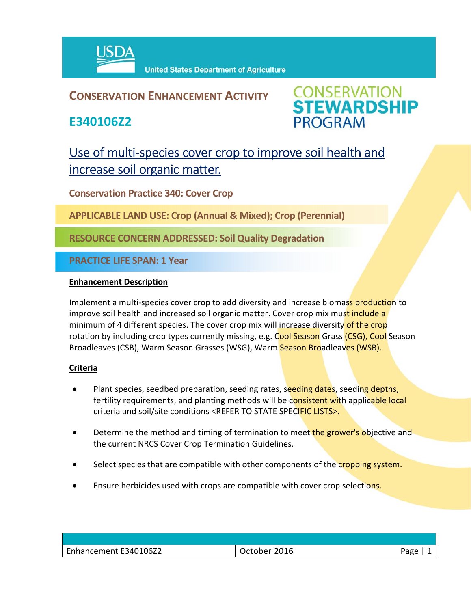

## **CONSERVATION ENHANCEMENT ACTIVITY**

**E340106Z2**



# Use of multi-species cover crop to improve soil health and increase soil organic matter.

**Conservation Practice 340: Cover Crop**

**APPLICABLE LAND USE: Crop (Annual & Mixed); Crop (Perennial)**

**RESOURCE CONCERN ADDRESSED: Soil Quality Degradation**

**PRACTICE LIFE SPAN: 1 Year**

### **Enhancement Description**

Implement a multi-species cover crop to add diversity and increase biomass production to improve soil health and increased soil organic matter. Cover crop mix must include a minimum of 4 different species. The cover crop mix will increase diversity of the crop rotation by including crop types currently missing, e.g. Cool Season Grass (CSG), Cool Season Broadleaves (CSB), Warm Season Grasses (WSG), Warm Season Broadleaves (WSB).

### **Criteria**

- Plant species, seedbed preparation, seeding rates, seeding dates, seeding depths, fertility requirements, and planting methods will be consistent with applicable local criteria and soil/site conditions <REFER TO STATE SPECIFIC LISTS>.
- Determine the method and timing of termination to meet the grower's objective and the current NRCS Cover Crop Termination Guidelines.
- Select species that are compatible with other components of the cropping system.
- Ensure herbicides used with crops are compatible with cover crop selections.

| E340106Z2<br>$\overline{\phantom{0}}$<br>Enhancement | 2016<br>------<br>∠ct∪D⊨ | חסבי<br>- כו |
|------------------------------------------------------|--------------------------|--------------|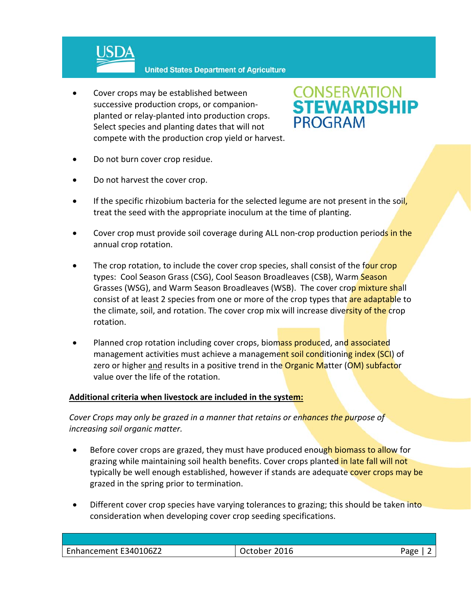

**United States Department of Agriculture** 

 Cover crops may be established between successive production crops, or companion‐ planted or relay‐planted into production crops. Select species and planting dates that will not compete with the production crop yield or harvest.



- Do not burn cover crop residue.
- Do not harvest the cover crop.
- If the specific rhizobium bacteria for the selected legume are not present in the soil, treat the seed with the appropriate inoculum at the time of planting.
- Cover crop must provide soil coverage during ALL non-crop production periods in the annual crop rotation.
- The crop rotation, to include the cover crop species, shall consist of the four crop types: Cool Season Grass (CSG), Cool Season Broadleaves (CSB), Warm Season Grasses (WSG), and Warm Season Broadleaves (WSB). The cover crop mixture shall consist of at least 2 species from one or more of the crop types that are adaptable to the climate, soil, and rotation. The cover crop mix will increase diversity of the crop rotation.
- Planned crop rotation including cover crops, biomass produced, and associated management activities must achieve a management soil conditioning index (SCI) of zero or higher and results in a positive trend in the **Organic Matter (OM) subfactor** value over the life of the rotation.

### **Additional criteria when livestock are included in the system:**

*Cover Crops may only be grazed in a manner that retains or enhances the purpose of increasing soil organic matter.* 

- **Before cover crops are grazed, they must have produced enough biomass to allow for** grazing while maintaining soil health benefits. Cover crops planted in late fall will not typically be well enough established, however if stands are adequate cover crops may be grazed in the spring prior to termination.
- Different cover crop species have varying tolerances to grazing; this should be taken into consideration when developing cover crop seeding specifications.

| Enhancement E340106Z2 | 2016 | Aמבי |
|-----------------------|------|------|
|                       |      |      |